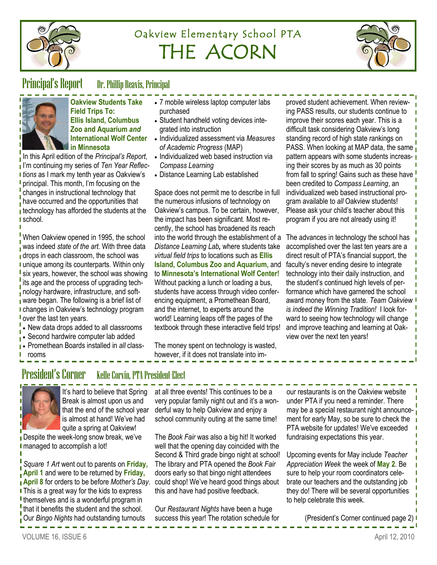

# Oakview Elementary School PTA THE ACORN



#### Principal's Report Dr. Phillip Reavis, Principal



**Oakview Students Take Field Trips To: Ellis Island, Columbus Zoo and Aquarium** *and* **International Wolf Center in Minnesota**

In this April edition of the *Principal's Report*, I'm continuing my series of *Ten Year Reflec***t** tions as I mark my tenth year as Oakview's **I** principal. This month, I'm focusing on the changes in instructional technology that have occurred and the opportunities that  $\overline{\phantom{a}}$  technology has afforded the students at the I school.

When Oakview opened in 1995, the school was indeed *state of the art*. With three data **drops in each classroom, the school was** I unique among its counterparts. Within only I six years, however, the school was showing its age and the process of upgrading technology hardware, infrastructure, and software began. The following is a brief list of changes in Oakview's technology program **l** over the last ten years.

- New data drops added to all classrooms
- . Second hardwire computer lab added
- **Promethean Boards installed in** *all* **class-**
- rooms
- President's Corner Kelle Corvin, PTA President-Elect



It's hard to believe that Spring Break is almost upon us and that the end of the school year is almost at hand! We've had quite a spring at Oakview!

Despite the week-long snow break, we've I managed to accomplish a lot!

*Square 1 Art* went out to parents on **Friday, April 1** and were to be returned by **Friday, April 8** for orders to be before *Mother's Day*. **I** This is a great way for the kids to express I themselves and is a wonderful program in that it benefits the student and the school. Our *Bingo Nights* had outstanding turnouts

- 7 mobile wireless laptop computer labs purchased
- Student handheld voting devices integrated into instruction
- Individualized assessment via *Measures of Academic Progress* (MAP)
- Individualized web based instruction via *Compass Learning*
- Distance Learning Lab established

Space does not permit me to describe in full the numerous infusions of technology on Oakview's campus. To be certain, however, the impact has been significant. Most recently, the school has broadened its reach into the world through the establishment of a *Distance Learning Lab,* where students take *virtual field trips* to locations such as **Ellis Island, Columbus Zoo and Aquarium,** and to **Minnesota's International Wolf Center!**  Without packing a lunch or loading a bus, students have access through video conferencing equipment, a Promethean Board, and the internet, to experts around the world! Learning leaps off the pages of the textbook through these interactive field trips!

proved student achievement. When reviewing PASS results, our students continue to improve their scores each year. This is a difficult task considering Oakview's long standing record of high state rankings on PASS. When looking at MAP data, the same pattern appears with some students increasing their scores by as much as 30 points from fall to spring! Gains such as these have been credited to *Compass Learning*, an individualized web based instructional program available to *all* Oakview students! Please ask your child's teacher about this program if you are not already using it!

The advances in technology the school has accomplished over the last ten years are a direct result of PTA's financial support, the faculty's never ending desire to integrate technology into their daily instruction, and the student's continued high levels of performance which have garnered the school award money from the state. *Team Oakview is indeed the Winning Tradition!* I look forward to seeing how technology will change and improve teaching and learning at Oakview over the next ten years!

The money spent on technology is wasted, however, if it does not translate into im-

VOLUME 16, ISSUE 6 April 12, 2010

at all three events! This continues to be a very popular family night out and it's a wonderful way to help Oakview and enjoy a school community outing at the same time!

The *Book Fair* was also a big hit! It worked well that the opening day coincided with the Second & Third grade bingo night at school! The library and PTA opened the *Book Fair*  doors early so that bingo night attendees could shop! We've heard good things about this and have had positive feedback.

Our *Restaurant Nights* have been a huge success this year! The rotation schedule for

our restaurants is on the Oakview website under PTA if you need a reminder. There may be a special restaurant night announcement for early May, so be sure to check the PTA website for updates! We've exceeded fundraising expectations this year.

Upcoming events for May include *Teacher Appreciation Week* the week of **May 2**. Be sure to help your room coordinators celebrate our teachers and the outstanding job they do! There will be several opportunities to help celebrate this week.

(President's Corner continued page 2)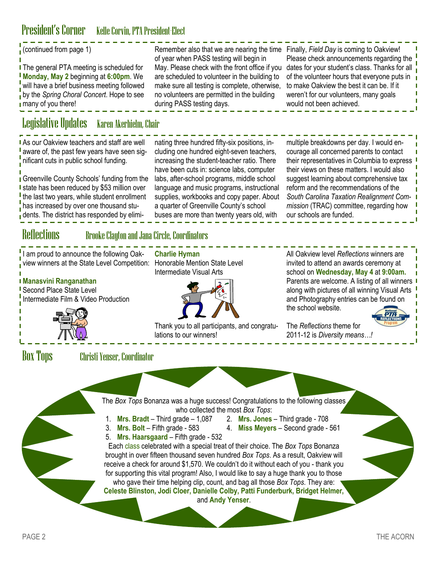## President's Corner Kelle Corvin, PTA President-Elect

| Remember also that we are nearing the time<br>of year when PASS testing will begin in<br>May. Please check with the front office if you<br>are scheduled to volunteer in the building to<br>make sure all testing is complete, otherwise,<br>no volunteers are permitted in the building<br>during PASS testing days.                                                                                                                                                                                                                                                                                                                                                                                                                                                                                                                                                                                                                                  | Finally, Field Day is coming to Oakview!<br>Please check announcements regarding the<br>dates for your student's class. Thanks for all<br>of the volunteer hours that everyone puts in<br>to make Oakview the best it can be. If it<br>weren't for our volunteers, many goals<br>would not been achieved.                                                                                 |  |  |  |
|--------------------------------------------------------------------------------------------------------------------------------------------------------------------------------------------------------------------------------------------------------------------------------------------------------------------------------------------------------------------------------------------------------------------------------------------------------------------------------------------------------------------------------------------------------------------------------------------------------------------------------------------------------------------------------------------------------------------------------------------------------------------------------------------------------------------------------------------------------------------------------------------------------------------------------------------------------|-------------------------------------------------------------------------------------------------------------------------------------------------------------------------------------------------------------------------------------------------------------------------------------------------------------------------------------------------------------------------------------------|--|--|--|
| <b>Legislative Updates</b><br>Karen Akerhielm, Chair                                                                                                                                                                                                                                                                                                                                                                                                                                                                                                                                                                                                                                                                                                                                                                                                                                                                                                   |                                                                                                                                                                                                                                                                                                                                                                                           |  |  |  |
| nating three hundred fifty-six positions, in-<br>cluding one hundred eight-seven teachers,<br>increasing the student-teacher ratio. There<br>have been cuts in: science labs, computer<br>labs, after-school programs, middle school<br>language and music programs, instructional<br>supplies, workbooks and copy paper. About<br>a quarter of Greenville County's school<br>buses are more than twenty years old, with                                                                                                                                                                                                                                                                                                                                                                                                                                                                                                                               | multiple breakdowns per day. I would en-<br>courage all concerned parents to contact<br>their representatives in Columbia to express<br>their views on these matters. I would also<br>suggest learning about comprehensive tax<br>reform and the recommendations of the<br>South Carolina Taxation Realignment Com-<br>mission (TRAC) committee, regarding how<br>our schools are funded. |  |  |  |
| <b>Reflections</b><br><b>Brooke Clayton and Jana Circle, Coordinators</b>                                                                                                                                                                                                                                                                                                                                                                                                                                                                                                                                                                                                                                                                                                                                                                                                                                                                              |                                                                                                                                                                                                                                                                                                                                                                                           |  |  |  |
| <b>Charlie Hyman</b><br>Honorable Mention State Level<br><b>Intermediate Visual Arts</b><br>Thank you to all participants, and congratu-                                                                                                                                                                                                                                                                                                                                                                                                                                                                                                                                                                                                                                                                                                                                                                                                               | All Oakview level Reflections winners are<br>invited to attend an awards ceremony at<br>school on Wednesday, May 4 at 9:00am.<br>Parents are welcome. A listing of all winners<br>along with pictures of all winning Visual Arts<br>and Photography entries can be found on<br>the school website.<br>The Reflections theme for                                                           |  |  |  |
|                                                                                                                                                                                                                                                                                                                                                                                                                                                                                                                                                                                                                                                                                                                                                                                                                                                                                                                                                        | 2011-12 is Diversity means!                                                                                                                                                                                                                                                                                                                                                               |  |  |  |
| <b>Box Tops</b><br><b>Christi Yenser, Coordinator</b><br>The Box Tops Bonanza was a huge success! Congratulations to the following classes<br>who collected the most Box Tops:<br>1. Mrs. Bradt - Third grade - $1,087$<br>2. Mrs. Jones - Third grade - 708<br>3.<br><b>Mrs. Bolt</b> – Fifth grade - $583$<br>4. Miss Meyers - Second grade - 561<br>Mrs. Haarsgaard - Fifth grade - 532<br>5.<br>Each class celebrated with a special treat of their choice. The Box Tops Bonanza<br>brought in over fifteen thousand seven hundred Box Tops. As a result, Oakview will<br>receive a check for around \$1,570. We couldn't do it without each of you - thank you<br>for supporting this vital program! Also, I would like to say a huge thank you to those<br>who gave their time helping clip, count, and bag all those Box Tops. They are:<br>Celeste Blinston, Jodi Cloer, Danielle Colby, Patti Funderburk, Bridget Helmer,<br>and Andy Yenser. |                                                                                                                                                                                                                                                                                                                                                                                           |  |  |  |
|                                                                                                                                                                                                                                                                                                                                                                                                                                                                                                                                                                                                                                                                                                                                                                                                                                                                                                                                                        | lations to our winners!                                                                                                                                                                                                                                                                                                                                                                   |  |  |  |